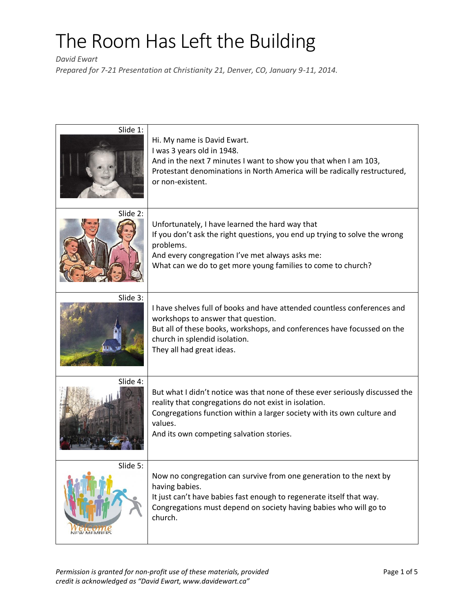*David Ewart*

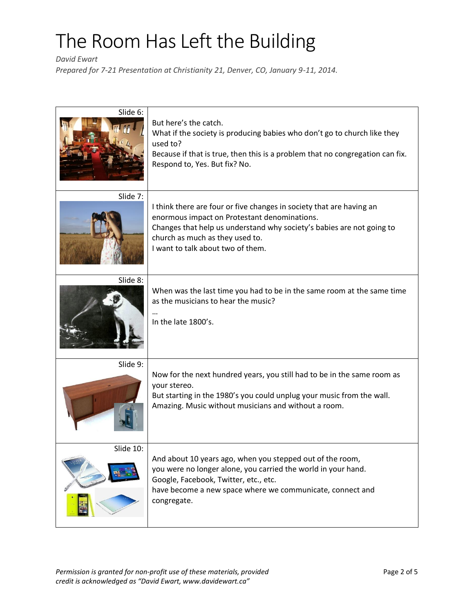*David Ewart*

| Slide 6:  | But here's the catch.<br>What if the society is producing babies who don't go to church like they<br>used to?<br>Because if that is true, then this is a problem that no congregation can fix.<br>Respond to, Yes. But fix? No.                                       |
|-----------|-----------------------------------------------------------------------------------------------------------------------------------------------------------------------------------------------------------------------------------------------------------------------|
| Slide 7:  | I think there are four or five changes in society that are having an<br>enormous impact on Protestant denominations.<br>Changes that help us understand why society's babies are not going to<br>church as much as they used to.<br>I want to talk about two of them. |
| Slide 8:  | When was the last time you had to be in the same room at the same time<br>as the musicians to hear the music?<br>In the late 1800's.                                                                                                                                  |
| Slide 9:  | Now for the next hundred years, you still had to be in the same room as<br>your stereo.<br>But starting in the 1980's you could unplug your music from the wall.<br>Amazing. Music without musicians and without a room.                                              |
| Slide 10: | And about 10 years ago, when you stepped out of the room,<br>you were no longer alone, you carried the world in your hand.<br>Google, Facebook, Twitter, etc., etc.<br>have become a new space where we communicate, connect and<br>congregate.                       |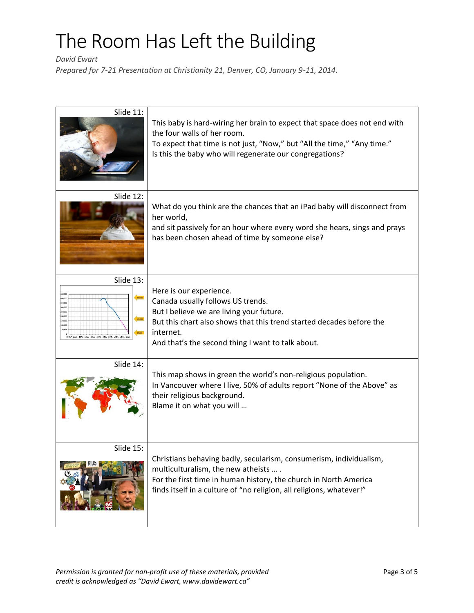*David Ewart*

| Slide 11:                                     | This baby is hard-wiring her brain to expect that space does not end with<br>the four walls of her room.<br>To expect that time is not just, "Now," but "All the time," "Any time."<br>Is this the baby who will regenerate our congregations? |
|-----------------------------------------------|------------------------------------------------------------------------------------------------------------------------------------------------------------------------------------------------------------------------------------------------|
| Slide 12:                                     | What do you think are the chances that an iPad baby will disconnect from<br>her world,<br>and sit passively for an hour where every word she hears, sings and prays<br>has been chosen ahead of time by someone else?                          |
| Slide 13:                                     | Here is our experience.                                                                                                                                                                                                                        |
| 1925* 1935 1945 1955 1965 1975 1985 1995 2005 | Canada usually follows US trends.<br>But I believe we are living your future.<br>But this chart also shows that this trend started decades before the<br>internet.<br>And that's the second thing I want to talk about.                        |
| Slide 14:                                     | This map shows in green the world's non-religious population.<br>In Vancouver where I live, 50% of adults report "None of the Above" as<br>their religious background.<br>Blame it on what you will                                            |
| Slide 15:                                     | Christians behaving badly, secularism, consumerism, individualism,                                                                                                                                                                             |
|                                               | multiculturalism, the new atheists  .<br>For the first time in human history, the church in North America<br>finds itself in a culture of "no religion, all religions, whatever!"                                                              |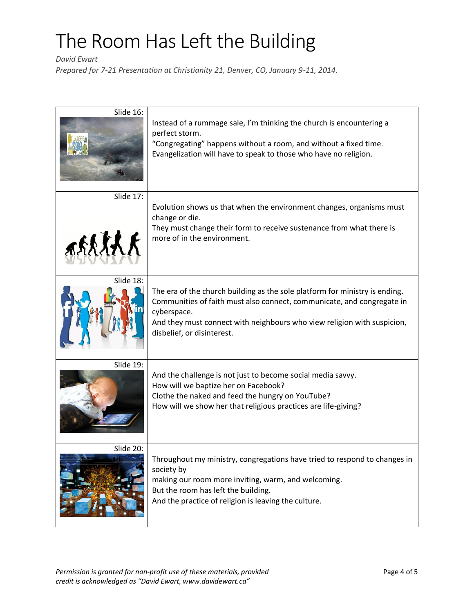*David Ewart*

| Slide 16:           | Instead of a rummage sale, I'm thinking the church is encountering a<br>perfect storm.<br>"Congregating" happens without a room, and without a fixed time.<br>Evangelization will have to speak to those who have no religion.                                                |
|---------------------|-------------------------------------------------------------------------------------------------------------------------------------------------------------------------------------------------------------------------------------------------------------------------------|
| Slide 17:<br>assisk | Evolution shows us that when the environment changes, organisms must<br>change or die.<br>They must change their form to receive sustenance from what there is<br>more of in the environment.                                                                                 |
| Slide 18:           | The era of the church building as the sole platform for ministry is ending.<br>Communities of faith must also connect, communicate, and congregate in<br>cyberspace.<br>And they must connect with neighbours who view religion with suspicion,<br>disbelief, or disinterest. |
| Slide 19:           | And the challenge is not just to become social media savvy.<br>How will we baptize her on Facebook?<br>Clothe the naked and feed the hungry on YouTube?<br>How will we show her that religious practices are life-giving?                                                     |
| Slide 20:           | Throughout my ministry, congregations have tried to respond to changes in<br>society by<br>making our room more inviting, warm, and welcoming.<br>But the room has left the building.<br>And the practice of religion is leaving the culture.                                 |